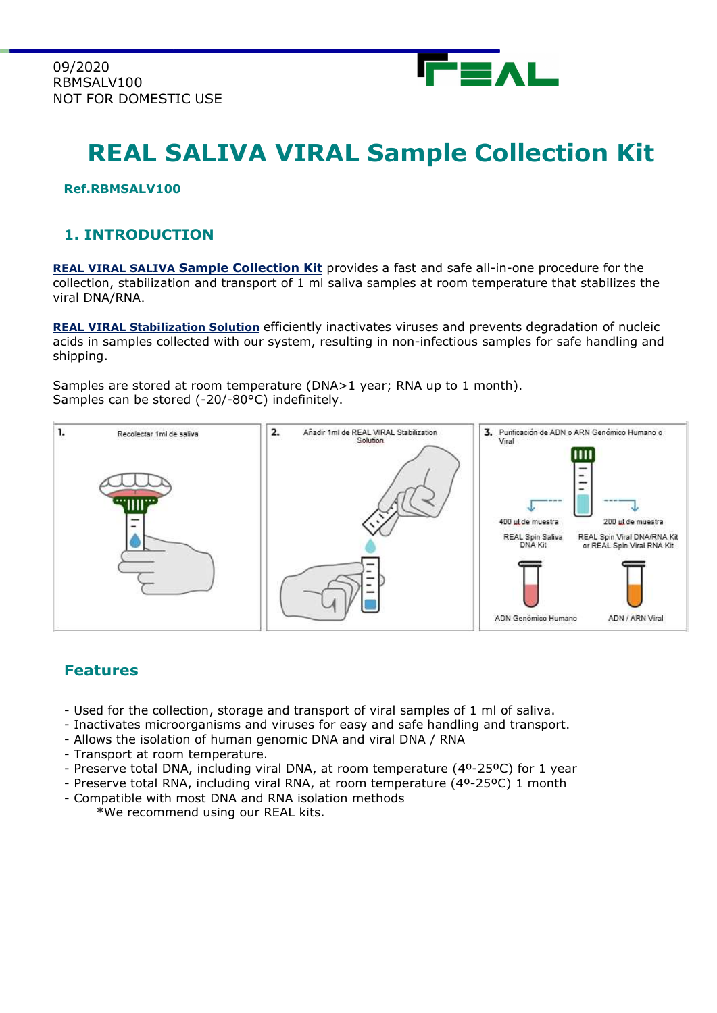

# REAL SALIVA VIRAL Sample Collection Kit

#### Ref.RBMSALV100

### 1. INTRODUCTION

REAL VIRAL SALIVA Sample Collection Kit provides a fast and safe all-in-one procedure for the collection, stabilization and transport of 1 ml saliva samples at room temperature that stabilizes the viral DNA/RNA.

REAL VIRAL Stabilization Solution efficiently inactivates viruses and prevents degradation of nucleic acids in samples collected with our system, resulting in non-infectious samples for safe handling and shipping.

Samples are stored at room temperature (DNA>1 year; RNA up to 1 month). Samples can be stored (-20/-80°C) indefinitely.



#### Features

- Used for the collection, storage and transport of viral samples of 1 ml of saliva.
- Inactivates microorganisms and viruses for easy and safe handling and transport.
- Allows the isolation of human genomic DNA and viral DNA / RNA
- Transport at room temperature.
- Preserve total DNA, including viral DNA, at room temperature (4º-25ºC) for 1 year
- Preserve total RNA, including viral RNA, at room temperature (4º-25ºC) 1 month
- Compatible with most DNA and RNA isolation methods
	- \*We recommend using our REAL kits.